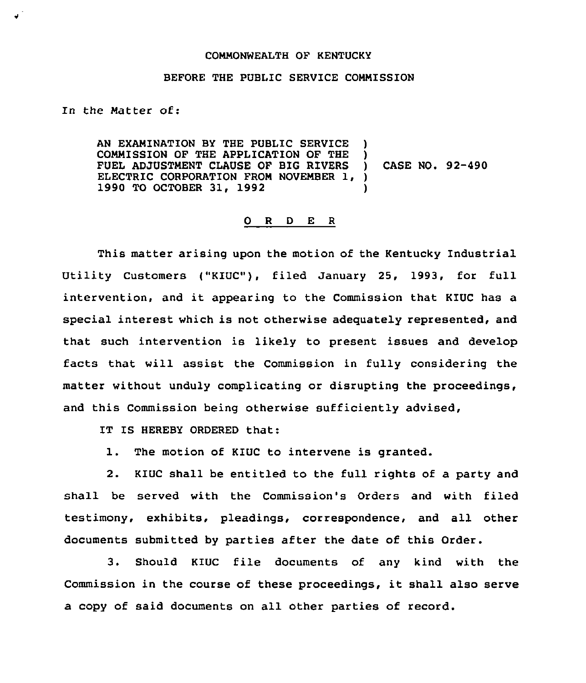## COMNONNEALTH OF KENTUCKY

## BEFORE THE PUBLIC SERVICE COMMISSION

In the Natter of:

AN EXANINATION BY THE PUBLIC SERVICE ) COMMISSION OF THE APPLICATION OF THE )<br>FUEL ADJUSTMENT CLAUSE OF BIG RIVERS FUEL ADJUSTMENT CLAUSE OF BIG RIVERS ELECTRIC CORPORATION FROM NOVEMBER 1, )<br>1990 TO OCTOBER 31, 1992 () 1990 TO OCTOBER 31, 1992 ) CASE NO. 92-490

## 0 R <sup>D</sup> E <sup>R</sup>

This matter arising upon the motion of the Kentucky Industrial Utility Customers ("KIUC"), filed January 25, 1993, for full intervention, and it appearing to the Commission that KIUC has a special interest which is not otherwise adequately represented, and that such intervention is likely to present issues and develop facts that will assist the Commission in fully considering the matter without unduly complicating or disrupting the proceedings, and this Commission being otherwise sufficiently advised,

IT IS HEREBY ORDERED that:

1. The motion of KIUC to intervene is granted.

2. KIUC shall be entitled to the full rights of a party and shall be served with the Commission's Orders and with filed testimony, exhibits, pleadings, correspondence, and all other documents submitted by parties after the date of this Order.

3. Should KIUC file documents of any kind with the Commission in the course of these proceedings, it shall also serve a copy of said documents on all other parties of record.